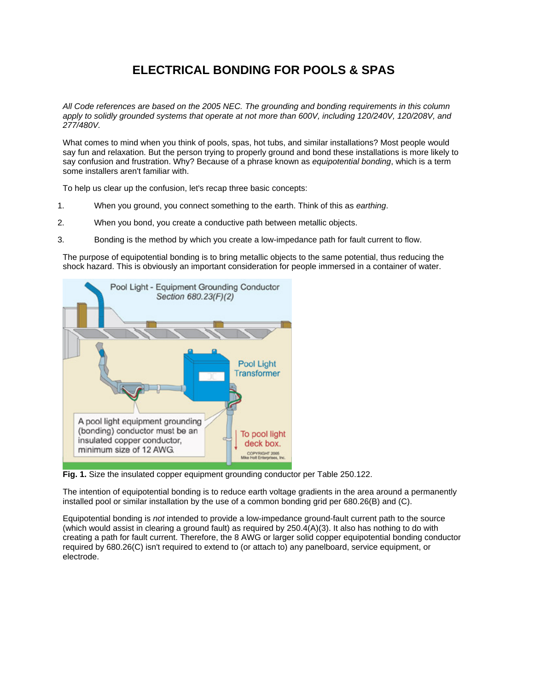## **ELECTRICAL BONDING FOR POOLS & SPAS**

*All Code references are based on the 2005 NEC. The grounding and bonding requirements in this column apply to solidly grounded systems that operate at not more than 600V, including 120/240V, 120/208V, and 277/480V.*

What comes to mind when you think of pools, spas, hot tubs, and similar installations? Most people would say fun and relaxation. But the person trying to properly ground and bond these installations is more likely to say confusion and frustration. Why? Because of a phrase known as *equipotential bonding*, which is a term some installers aren't familiar with.

To help us clear up the confusion, let's recap three basic concepts:

- 1. When you ground, you connect something to the earth. Think of this as *earthing*.
- 2. When you bond, you create a conductive path between metallic objects.
- 3. Bonding is the method by which you create a low-impedance path for fault current to flow.

The purpose of equipotential bonding is to bring metallic objects to the same potential, thus reducing the shock hazard. This is obviously an important consideration for people immersed in a container of water.



**Fig. 1.** Size the insulated copper equipment grounding conductor per Table 250.122.

The intention of equipotential bonding is to reduce earth voltage gradients in the area around a permanently installed pool or similar installation by the use of a common bonding grid per 680.26(B) and (C).

Equipotential bonding is *not* intended to provide a low-impedance ground-fault current path to the source (which would assist in clearing a ground fault) as required by 250.4(A)(3). It also has nothing to do with creating a path for fault current. Therefore, the 8 AWG or larger solid copper equipotential bonding conductor required by 680.26(C) isn't required to extend to (or attach to) any panelboard, service equipment, or electrode.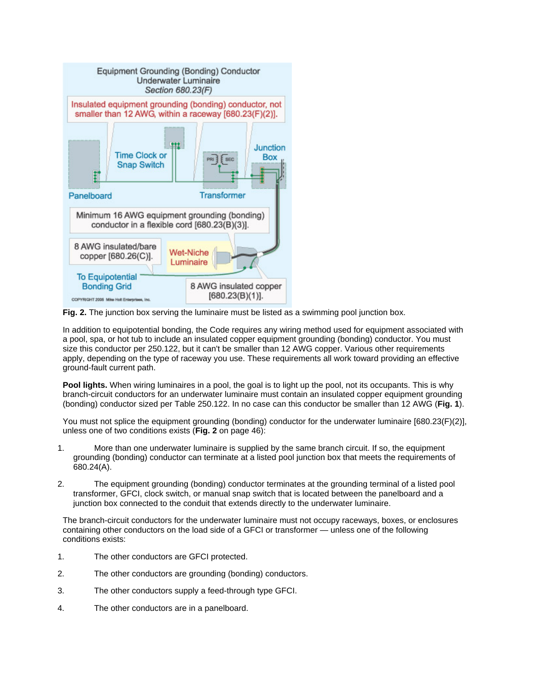

**Fig. 2.** The junction box serving the luminaire must be listed as a swimming pool junction box.

In addition to equipotential bonding, the Code requires any wiring method used for equipment associated with a pool, spa, or hot tub to include an insulated copper equipment grounding (bonding) conductor. You must size this conductor per 250.122, but it can't be smaller than 12 AWG copper. Various other requirements apply, depending on the type of raceway you use. These requirements all work toward providing an effective ground-fault current path.

**Pool lights.** When wiring luminaires in a pool, the goal is to light up the pool, not its occupants. This is why branch-circuit conductors for an underwater luminaire must contain an insulated copper equipment grounding (bonding) conductor sized per Table 250.122. In no case can this conductor be smaller than 12 AWG (**Fig. 1**).

You must not splice the equipment grounding (bonding) conductor for the underwater luminaire [680.23(F)(2)], unless one of two conditions exists (**Fig. 2** on page 46):

- 1. More than one underwater luminaire is supplied by the same branch circuit. If so, the equipment grounding (bonding) conductor can terminate at a listed pool junction box that meets the requirements of 680.24(A).
- 2. The equipment grounding (bonding) conductor terminates at the grounding terminal of a listed pool transformer, GFCI, clock switch, or manual snap switch that is located between the panelboard and a junction box connected to the conduit that extends directly to the underwater luminaire.

The branch-circuit conductors for the underwater luminaire must not occupy raceways, boxes, or enclosures containing other conductors on the load side of a GFCI or transformer — unless one of the following conditions exists:

- 1. The other conductors are GFCI protected.
- 2. The other conductors are grounding (bonding) conductors.
- 3. The other conductors supply a feed-through type GFCI.
- 4. The other conductors are in a panelboard.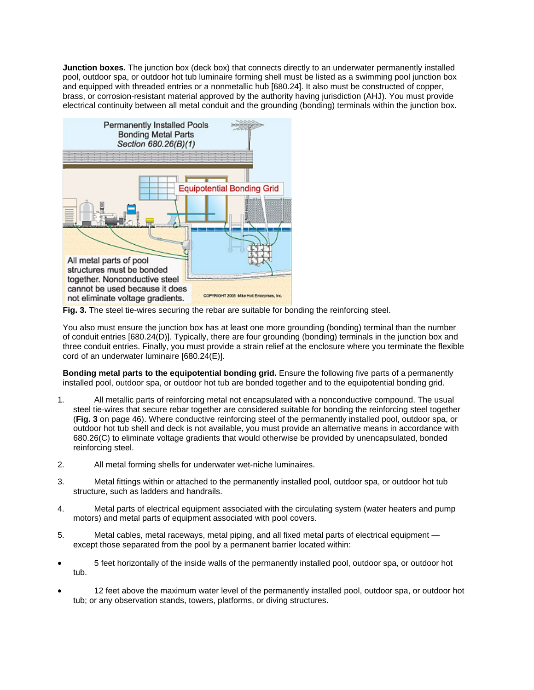**Junction boxes.** The junction box (deck box) that connects directly to an underwater permanently installed pool, outdoor spa, or outdoor hot tub luminaire forming shell must be listed as a swimming pool junction box and equipped with threaded entries or a nonmetallic hub [680.24]. It also must be constructed of copper, brass, or corrosion-resistant material approved by the authority having jurisdiction (AHJ). You must provide electrical continuity between all metal conduit and the grounding (bonding) terminals within the junction box.



**Fig. 3.** The steel tie-wires securing the rebar are suitable for bonding the reinforcing steel.

You also must ensure the junction box has at least one more grounding (bonding) terminal than the number of conduit entries [680.24(D)]. Typically, there are four grounding (bonding) terminals in the junction box and three conduit entries. Finally, you must provide a strain relief at the enclosure where you terminate the flexible cord of an underwater luminaire [680.24(E)].

**Bonding metal parts to the equipotential bonding grid.** Ensure the following five parts of a permanently installed pool, outdoor spa, or outdoor hot tub are bonded together and to the equipotential bonding grid.

- 1. All metallic parts of reinforcing metal not encapsulated with a nonconductive compound. The usual steel tie-wires that secure rebar together are considered suitable for bonding the reinforcing steel together (**Fig. 3** on page 46). Where conductive reinforcing steel of the permanently installed pool, outdoor spa, or outdoor hot tub shell and deck is not available, you must provide an alternative means in accordance with 680.26(C) to eliminate voltage gradients that would otherwise be provided by unencapsulated, bonded reinforcing steel.
- 2. All metal forming shells for underwater wet-niche luminaires.
- 3. Metal fittings within or attached to the permanently installed pool, outdoor spa, or outdoor hot tub structure, such as ladders and handrails.
- 4. Metal parts of electrical equipment associated with the circulating system (water heaters and pump motors) and metal parts of equipment associated with pool covers.
- 5. Metal cables, metal raceways, metal piping, and all fixed metal parts of electrical equipment except those separated from the pool by a permanent barrier located within:
- 5 feet horizontally of the inside walls of the permanently installed pool, outdoor spa, or outdoor hot tub.
- 12 feet above the maximum water level of the permanently installed pool, outdoor spa, or outdoor hot tub; or any observation stands, towers, platforms, or diving structures.